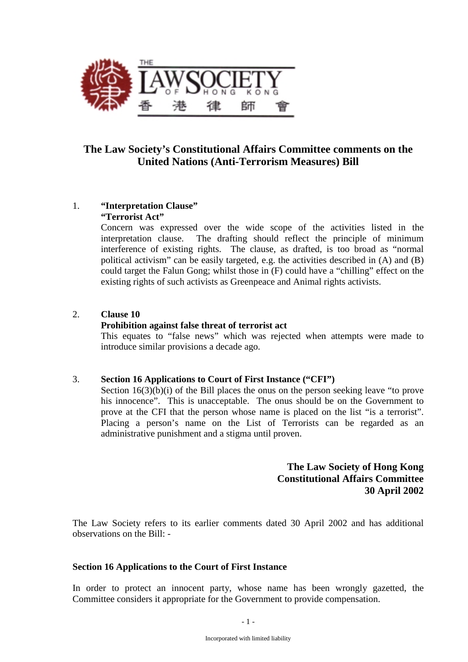

# **The Law Society's Constitutional Affairs Committee comments on the United Nations (Anti-Terrorism Measures) Bill**

# 1. **"Interpretation Clause"**

# **"Terrorist Act"**

Concern was expressed over the wide scope of the activities listed in the interpretation clause. The drafting should reflect the principle of minimum interference of existing rights. The clause, as drafted, is too broad as "normal political activism" can be easily targeted, e.g. the activities described in (A) and (B) could target the Falun Gong; whilst those in (F) could have a "chilling" effect on the existing rights of such activists as Greenpeace and Animal rights activists.

# 2. **Clause 10**

#### **Prohibition against false threat of terrorist act**

This equates to "false news" which was rejected when attempts were made to introduce similar provisions a decade ago.

#### 3. **Section 16 Applications to Court of First Instance ("CFI")**

Section  $16(3)(b)(i)$  of the Bill places the onus on the person seeking leave "to prove his innocence". This is unacceptable. The onus should be on the Government to prove at the CFI that the person whose name is placed on the list "is a terrorist". Placing a person's name on the List of Terrorists can be regarded as an administrative punishment and a stigma until proven.

# **The Law Society of Hong Kong Constitutional Affairs Committee 30 April 2002**

The Law Society refers to its earlier comments dated 30 April 2002 and has additional observations on the Bill: -

#### **Section 16 Applications to the Court of First Instance**

In order to protect an innocent party, whose name has been wrongly gazetted, the Committee considers it appropriate for the Government to provide compensation.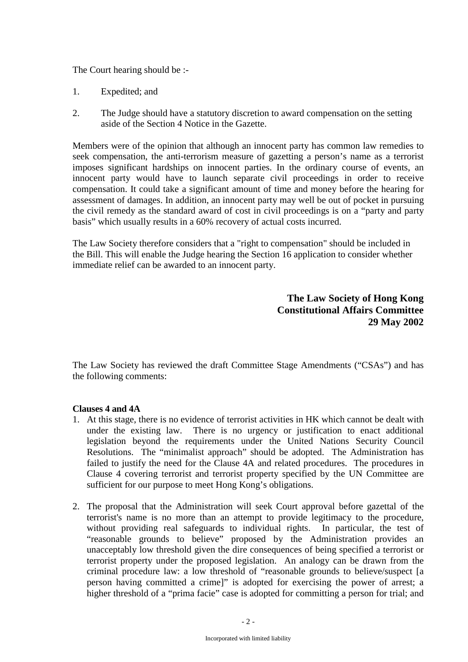The Court hearing should be :-

- 1. Expedited; and
- 2. The Judge should have a statutory discretion to award compensation on the setting aside of the Section 4 Notice in the Gazette.

Members were of the opinion that although an innocent party has common law remedies to seek compensation, the anti-terrorism measure of gazetting a person's name as a terrorist imposes significant hardships on innocent parties. In the ordinary course of events, an innocent party would have to launch separate civil proceedings in order to receive compensation. It could take a significant amount of time and money before the hearing for assessment of damages. In addition, an innocent party may well be out of pocket in pursuing the civil remedy as the standard award of cost in civil proceedings is on a "party and party basis" which usually results in a 60% recovery of actual costs incurred.

The Law Society therefore considers that a "right to compensation" should be included in the Bill. This will enable the Judge hearing the Section 16 application to consider whether immediate relief can be awarded to an innocent party.

> **The Law Society of Hong Kong Constitutional Affairs Committee 29 May 2002**

The Law Society has reviewed the draft Committee Stage Amendments ("CSAs") and has the following comments:

#### **Clauses 4 and 4A**

- 1. At this stage, there is no evidence of terrorist activities in HK which cannot be dealt with under the existing law. There is no urgency or justification to enact additional legislation beyond the requirements under the United Nations Security Council Resolutions. The "minimalist approach" should be adopted. The Administration has failed to justify the need for the Clause 4A and related procedures. The procedures in Clause 4 covering terrorist and terrorist property specified by the UN Committee are sufficient for our purpose to meet Hong Kong's obligations.
- 2. The proposal that the Administration will seek Court approval before gazettal of the terrorist's name is no more than an attempt to provide legitimacy to the procedure, without providing real safeguards to individual rights. In particular, the test of "reasonable grounds to believe" proposed by the Administration provides an unacceptably low threshold given the dire consequences of being specified a terrorist or terrorist property under the proposed legislation. An analogy can be drawn from the criminal procedure law: a low threshold of "reasonable grounds to believe/suspect [a person having committed a crime]" is adopted for exercising the power of arrest; a higher threshold of a "prima facie" case is adopted for committing a person for trial; and